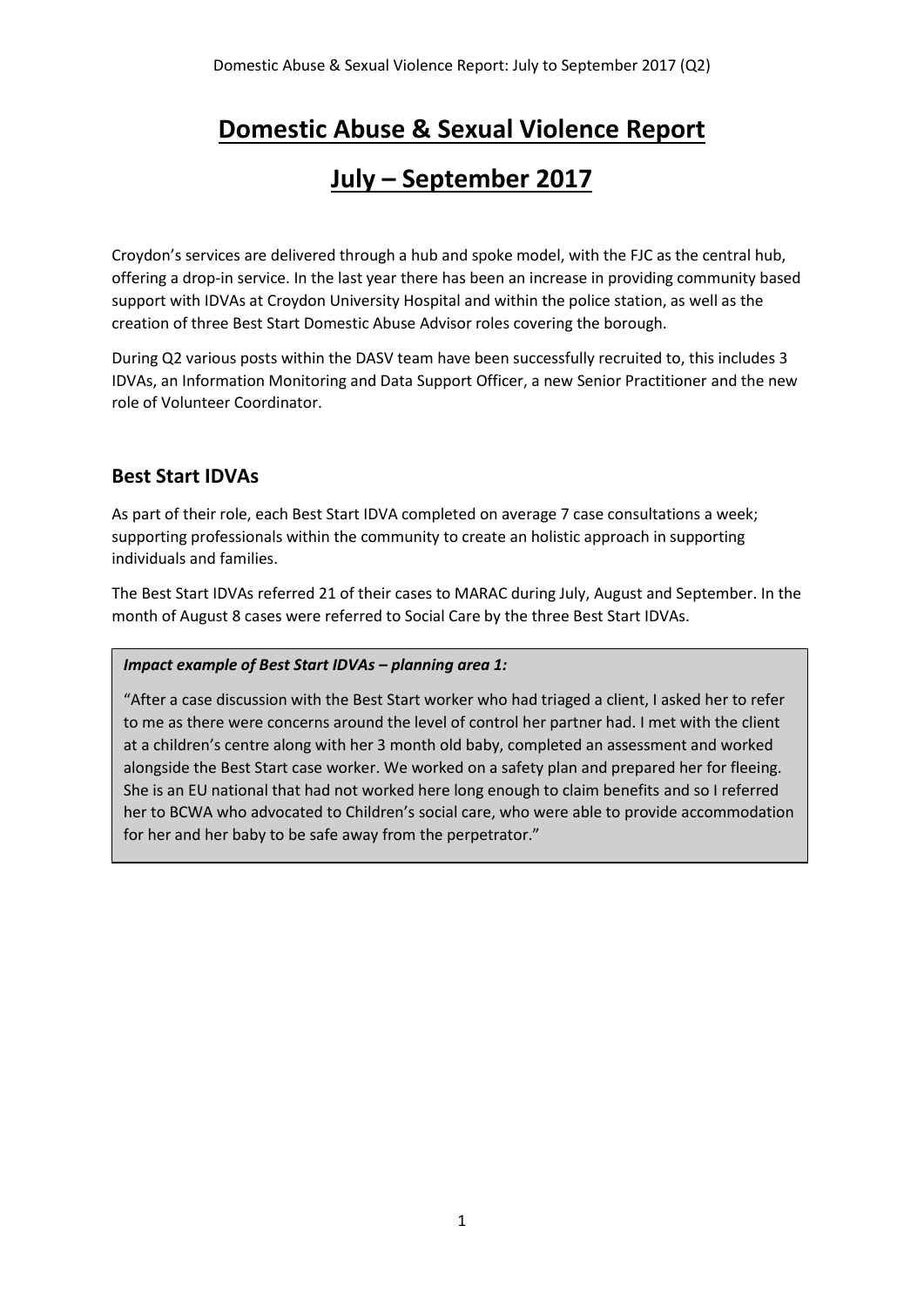# **Domestic Abuse & Sexual Violence Report**

## **July – September 2017**

Croydon's services are delivered through a hub and spoke model, with the FJC as the central hub, offering a drop-in service. In the last year there has been an increase in providing community based support with IDVAs at Croydon University Hospital and within the police station, as well as the creation of three Best Start Domestic Abuse Advisor roles covering the borough.

During Q2 various posts within the DASV team have been successfully recruited to, this includes 3 IDVAs, an Information Monitoring and Data Support Officer, a new Senior Practitioner and the new role of Volunteer Coordinator.

## **Best Start IDVAs**

As part of their role, each Best Start IDVA completed on average 7 case consultations a week; supporting professionals within the community to create an holistic approach in supporting individuals and families.

The Best Start IDVAs referred 21 of their cases to MARAC during July, August and September. In the month of August 8 cases were referred to Social Care by the three Best Start IDVAs.

### *Impact example of Best Start IDVAs – planning area 1:*

"After a case discussion with the Best Start worker who had triaged a client, I asked her to refer to me as there were concerns around the level of control her partner had. I met with the client at a children's centre along with her 3 month old baby, completed an assessment and worked alongside the Best Start case worker. We worked on a safety plan and prepared her for fleeing. She is an EU national that had not worked here long enough to claim benefits and so I referred her to BCWA who advocated to Children's social care, who were able to provide accommodation for her and her baby to be safe away from the perpetrator."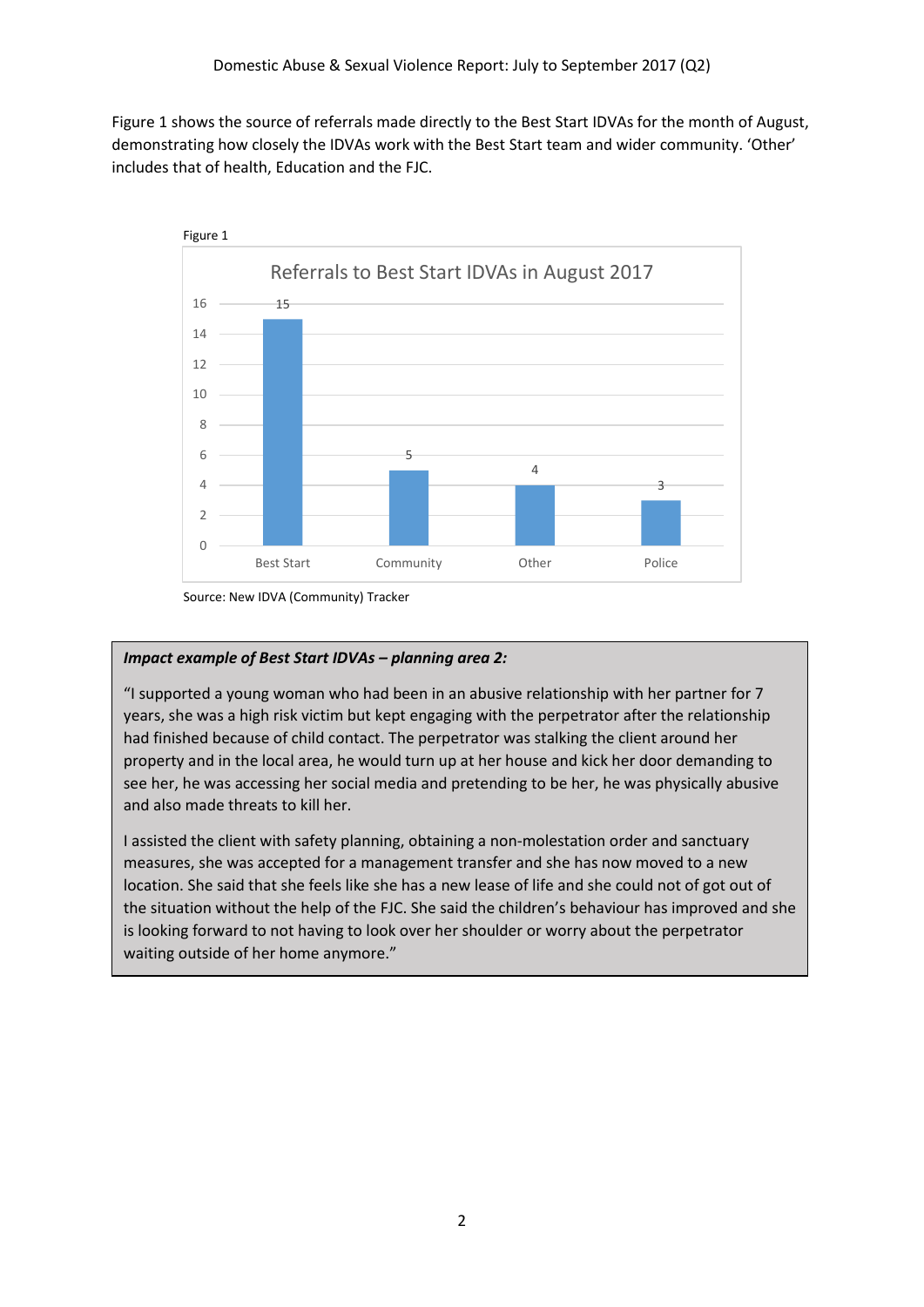Figure 1 shows the source of referrals made directly to the Best Start IDVAs for the month of August, demonstrating how closely the IDVAs work with the Best Start team and wider community. 'Other' includes that of health, Education and the FJC.



Source: New IDVA (Community) Tracker

## *Impact example of Best Start IDVAs – planning area 2:*

"I supported a young woman who had been in an abusive relationship with her partner for 7 years, she was a high risk victim but kept engaging with the perpetrator after the relationship had finished because of child contact. The perpetrator was stalking the client around her property and in the local area, he would turn up at her house and kick her door demanding to see her, he was accessing her social media and pretending to be her, he was physically abusive and also made threats to kill her.

I assisted the client with safety planning, obtaining a non-molestation order and sanctuary measures, she was accepted for a management transfer and she has now moved to a new location. She said that she feels like she has a new lease of life and she could not of got out of the situation without the help of the FJC. She said the children's behaviour has improved and she is looking forward to not having to look over her shoulder or worry about the perpetrator waiting outside of her home anymore."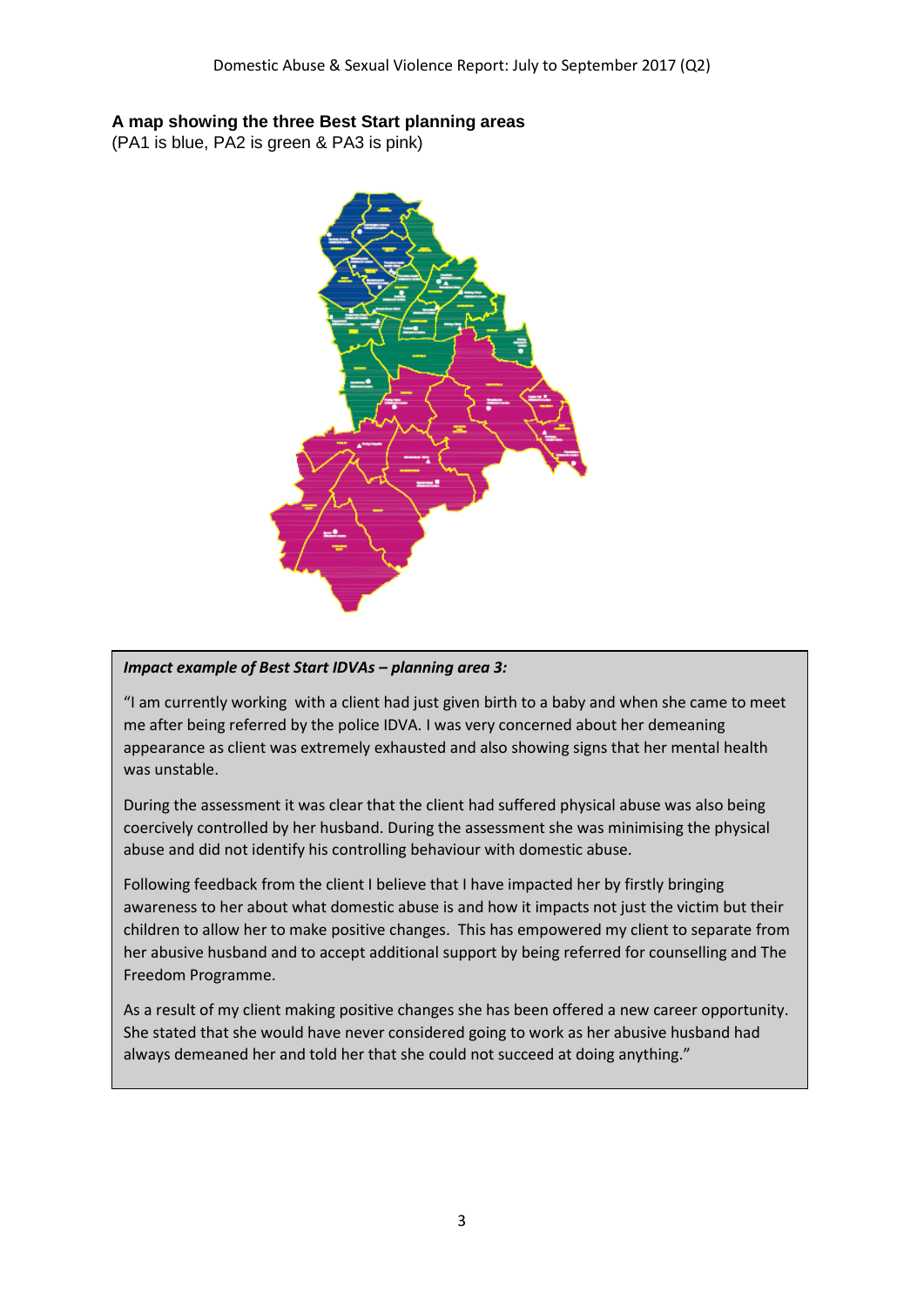## **A map showing the three Best Start planning areas**

(PA1 is blue, PA2 is green & PA3 is pink)



### *Impact example of Best Start IDVAs – planning area 3:*

"I am currently working with a client had just given birth to a baby and when she came to meet me after being referred by the police IDVA. I was very concerned about her demeaning appearance as client was extremely exhausted and also showing signs that her mental health was unstable.

During the assessment it was clear that the client had suffered physical abuse was also being coercively controlled by her husband. During the assessment she was minimising the physical abuse and did not identify his controlling behaviour with domestic abuse.

Following feedback from the client I believe that I have impacted her by firstly bringing awareness to her about what domestic abuse is and how it impacts not just the victim but their children to allow her to make positive changes. This has empowered my client to separate from her abusive husband and to accept additional support by being referred for counselling and The Freedom Programme.

As a result of my client making positive changes she has been offered a new career opportunity. She stated that she would have never considered going to work as her abusive husband had always demeaned her and told her that she could not succeed at doing anything."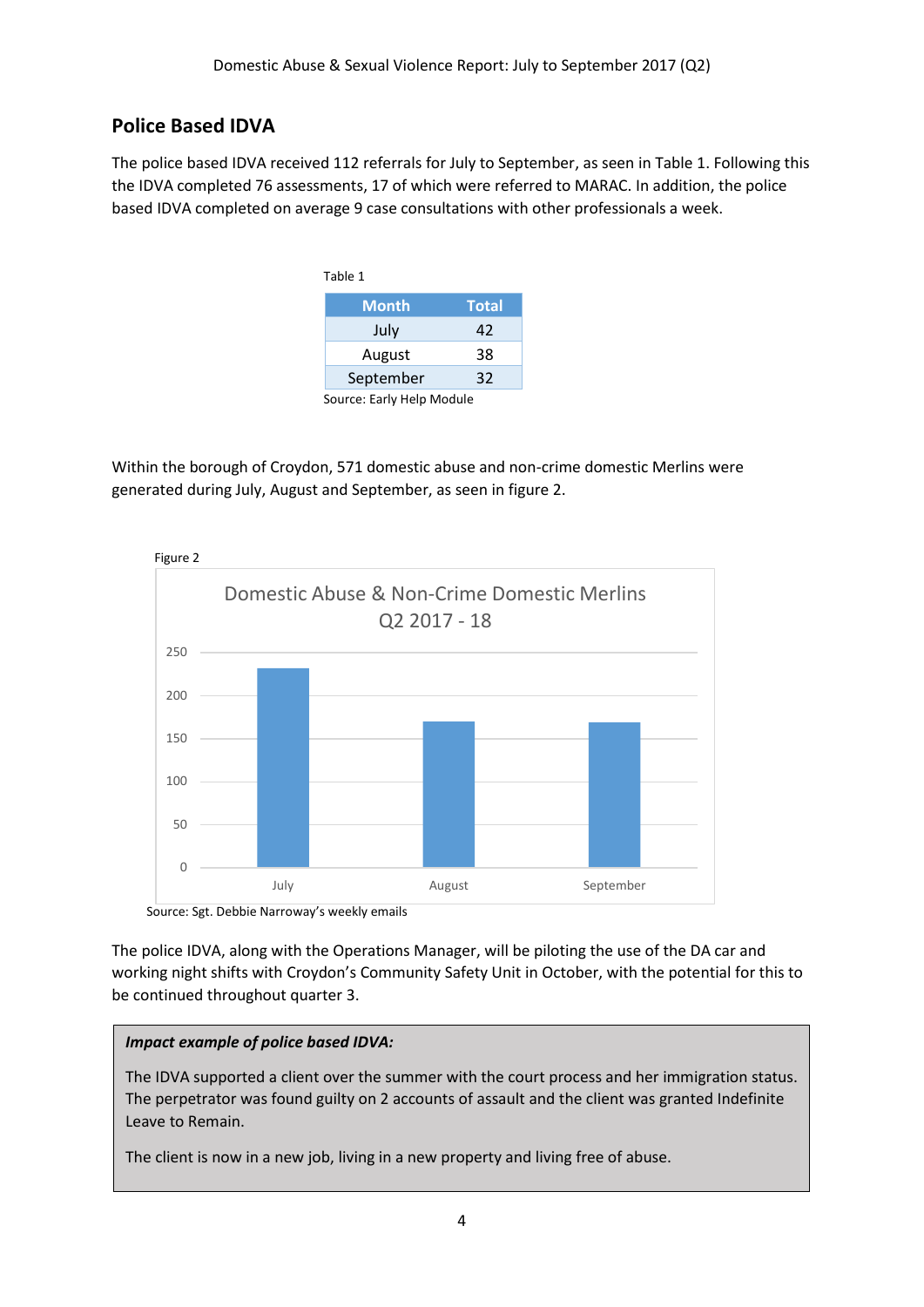## **Police Based IDVA**

The police based IDVA received 112 referrals for July to September, as seen in Table 1. Following this the IDVA completed 76 assessments, 17 of which were referred to MARAC. In addition, the police based IDVA completed on average 9 case consultations with other professionals a week.

|                           | Table 1      |              |
|---------------------------|--------------|--------------|
|                           | <b>Month</b> | <b>Total</b> |
|                           | July         | 42           |
|                           | August       | 38           |
|                           | September    | 32           |
| Source: Early Help Module |              |              |

Within the borough of Croydon, 571 domestic abuse and non-crime domestic Merlins were generated during July, August and September, as seen in figure 2.



Source: Sgt. Debbie Narroway's weekly emails

The police IDVA, along with the Operations Manager, will be piloting the use of the DA car and working night shifts with Croydon's Community Safety Unit in October, with the potential for this to be continued throughout quarter 3.

## *Impact example of police based IDVA:*

The IDVA supported a client over the summer with the court process and her immigration status. The perpetrator was found guilty on 2 accounts of assault and the client was granted Indefinite Leave to Remain.

The client is now in a new job, living in a new property and living free of abuse.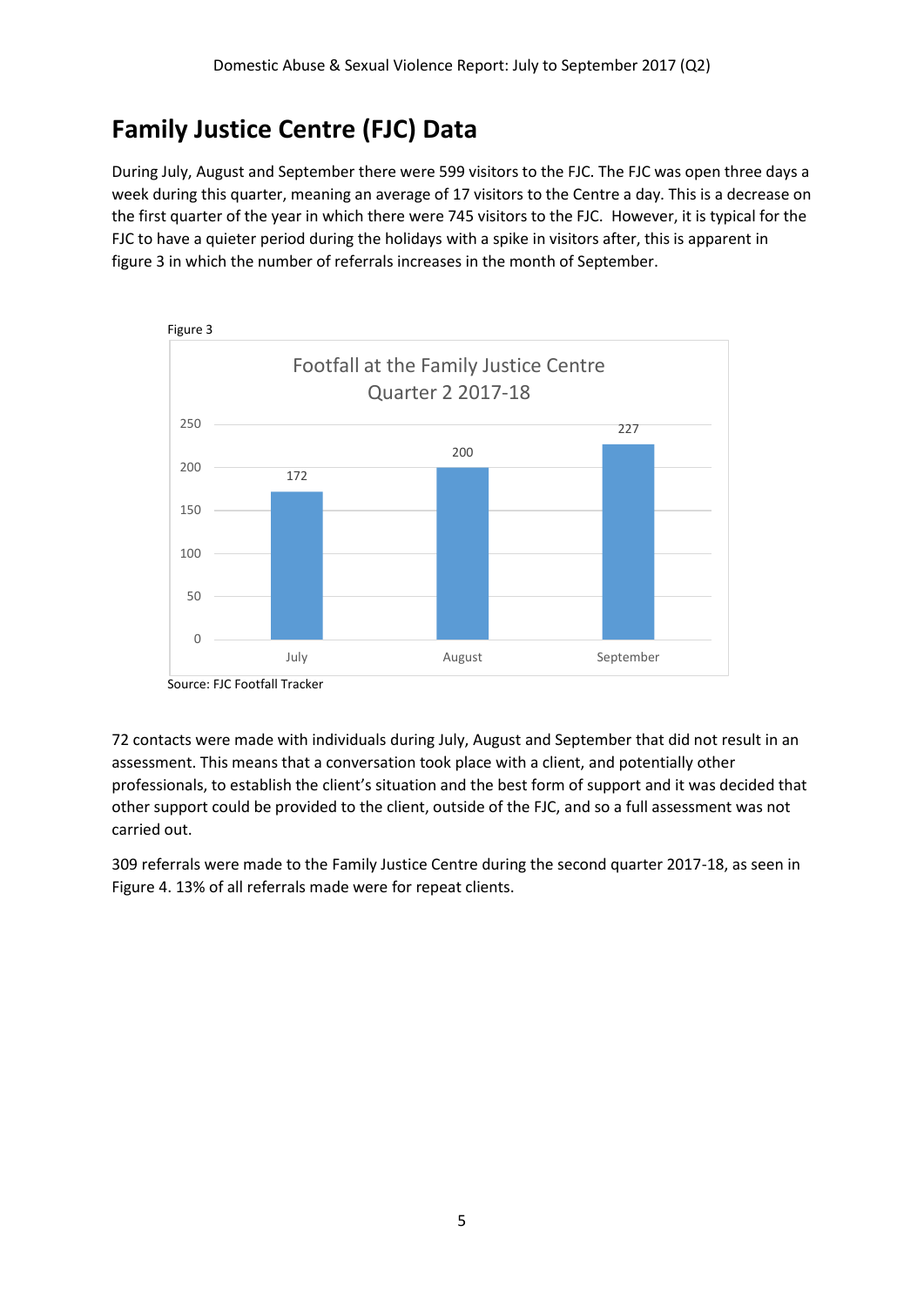## **Family Justice Centre (FJC) Data**

During July, August and September there were 599 visitors to the FJC. The FJC was open three days a week during this quarter, meaning an average of 17 visitors to the Centre a day. This is a decrease on the first quarter of the year in which there were 745 visitors to the FJC. However, it is typical for the FJC to have a quieter period during the holidays with a spike in visitors after, this is apparent in figure 3 in which the number of referrals increases in the month of September.



Source: FJC Footfall Tracker

72 contacts were made with individuals during July, August and September that did not result in an assessment. This means that a conversation took place with a client, and potentially other professionals, to establish the client's situation and the best form of support and it was decided that other support could be provided to the client, outside of the FJC, and so a full assessment was not carried out.

309 referrals were made to the Family Justice Centre during the second quarter 2017-18, as seen in Figure 4. 13% of all referrals made were for repeat clients.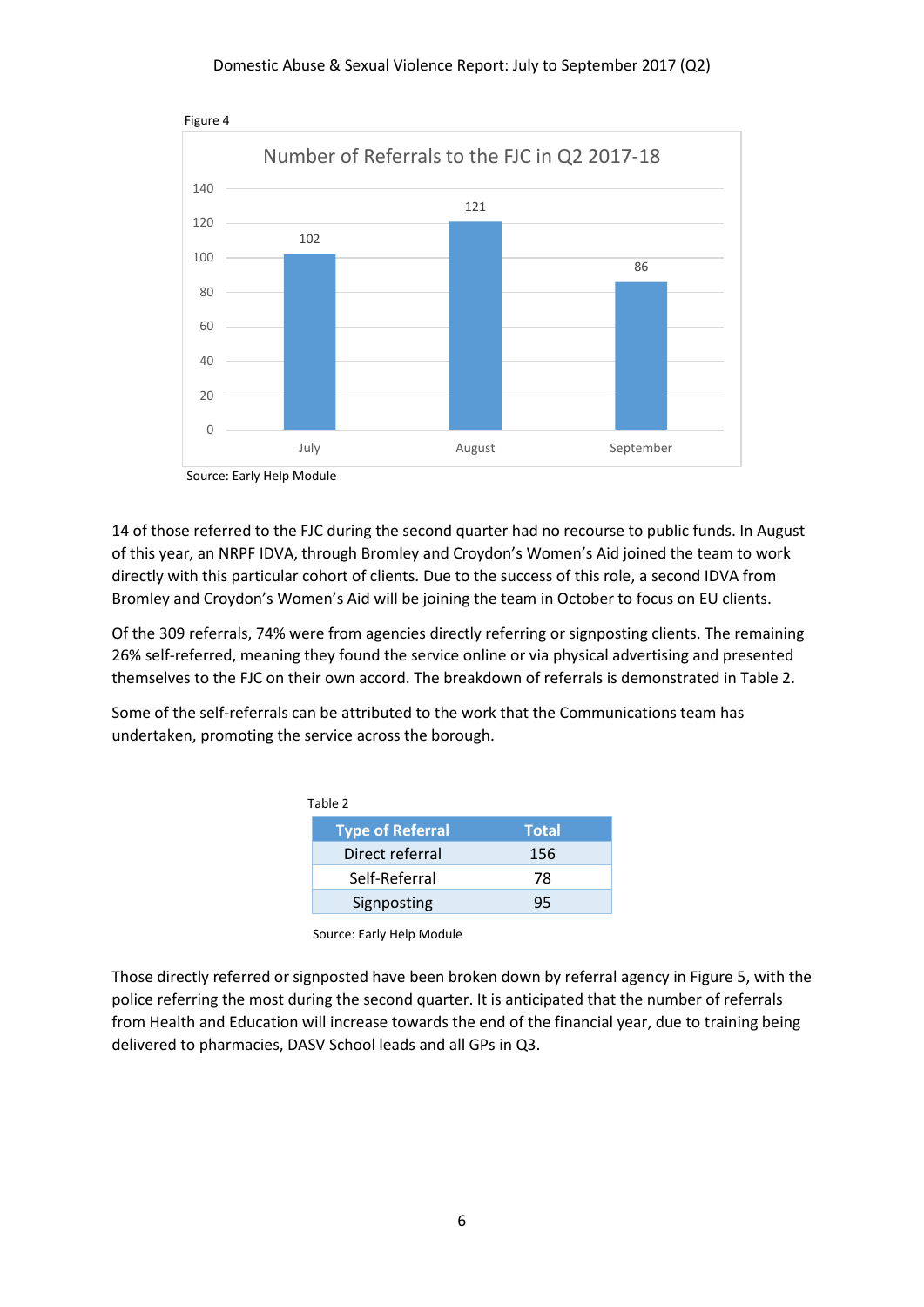

Figure 4

Source: Early Help Module

14 of those referred to the FJC during the second quarter had no recourse to public funds. In August of this year, an NRPF IDVA, through Bromley and Croydon's Women's Aid joined the team to work directly with this particular cohort of clients. Due to the success of this role, a second IDVA from Bromley and Croydon's Women's Aid will be joining the team in October to focus on EU clients.

Of the 309 referrals, 74% were from agencies directly referring or signposting clients. The remaining 26% self-referred, meaning they found the service online or via physical advertising and presented themselves to the FJC on their own accord. The breakdown of referrals is demonstrated in Table 2.

Some of the self-referrals can be attributed to the work that the Communications team has undertaken, promoting the service across the borough.

| Table 2 |                         |              |  |  |
|---------|-------------------------|--------------|--|--|
|         | <b>Type of Referral</b> | <b>Total</b> |  |  |
|         | Direct referral         | 156          |  |  |
|         | Self-Referral           | 78           |  |  |
|         | Signposting             | 95           |  |  |

Source: Early Help Module

Those directly referred or signposted have been broken down by referral agency in Figure 5, with the police referring the most during the second quarter. It is anticipated that the number of referrals from Health and Education will increase towards the end of the financial year, due to training being delivered to pharmacies, DASV School leads and all GPs in Q3.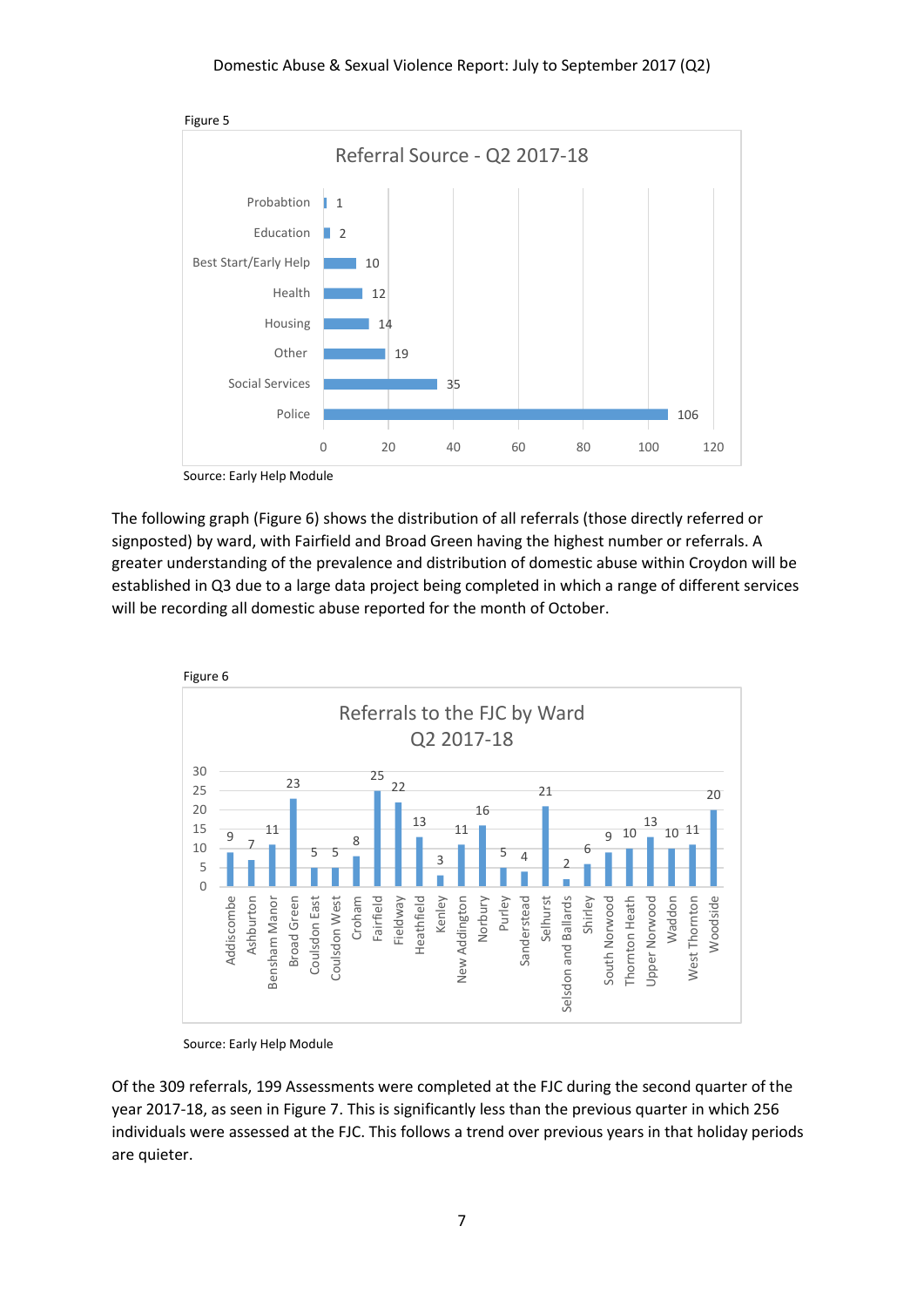

Source: Early Help Module

The following graph (Figure 6) shows the distribution of all referrals (those directly referred or signposted) by ward, with Fairfield and Broad Green having the highest number or referrals. A greater understanding of the prevalence and distribution of domestic abuse within Croydon will be established in Q3 due to a large data project being completed in which a range of different services will be recording all domestic abuse reported for the month of October.



Source: Early Help Module

Of the 309 referrals, 199 Assessments were completed at the FJC during the second quarter of the year 2017-18, as seen in Figure 7. This is significantly less than the previous quarter in which 256 individuals were assessed at the FJC. This follows a trend over previous years in that holiday periods are quieter.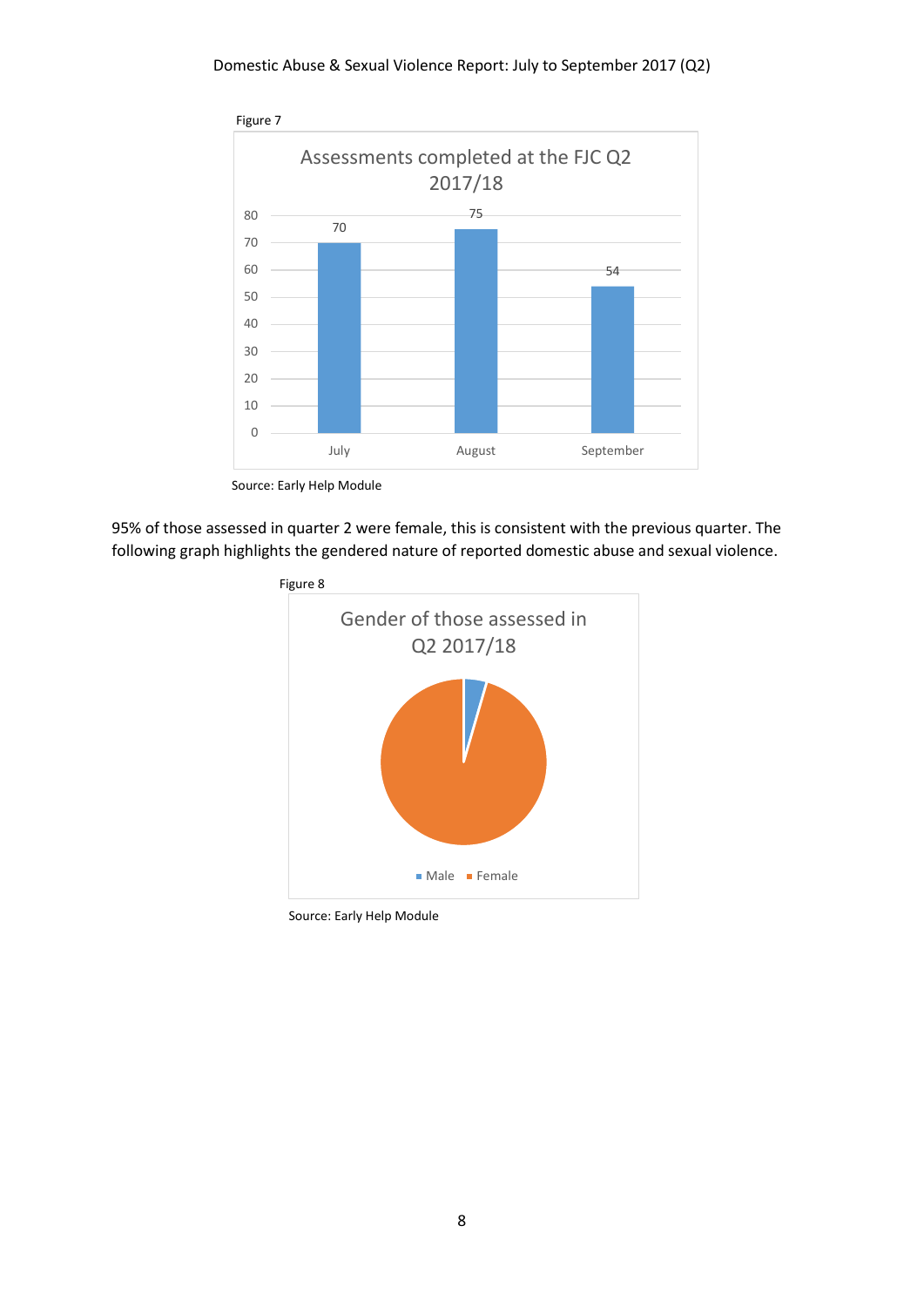

Source: Early Help Module

95% of those assessed in quarter 2 were female, this is consistent with the previous quarter. The following graph highlights the gendered nature of reported domestic abuse and sexual violence.



Source: Early Help Module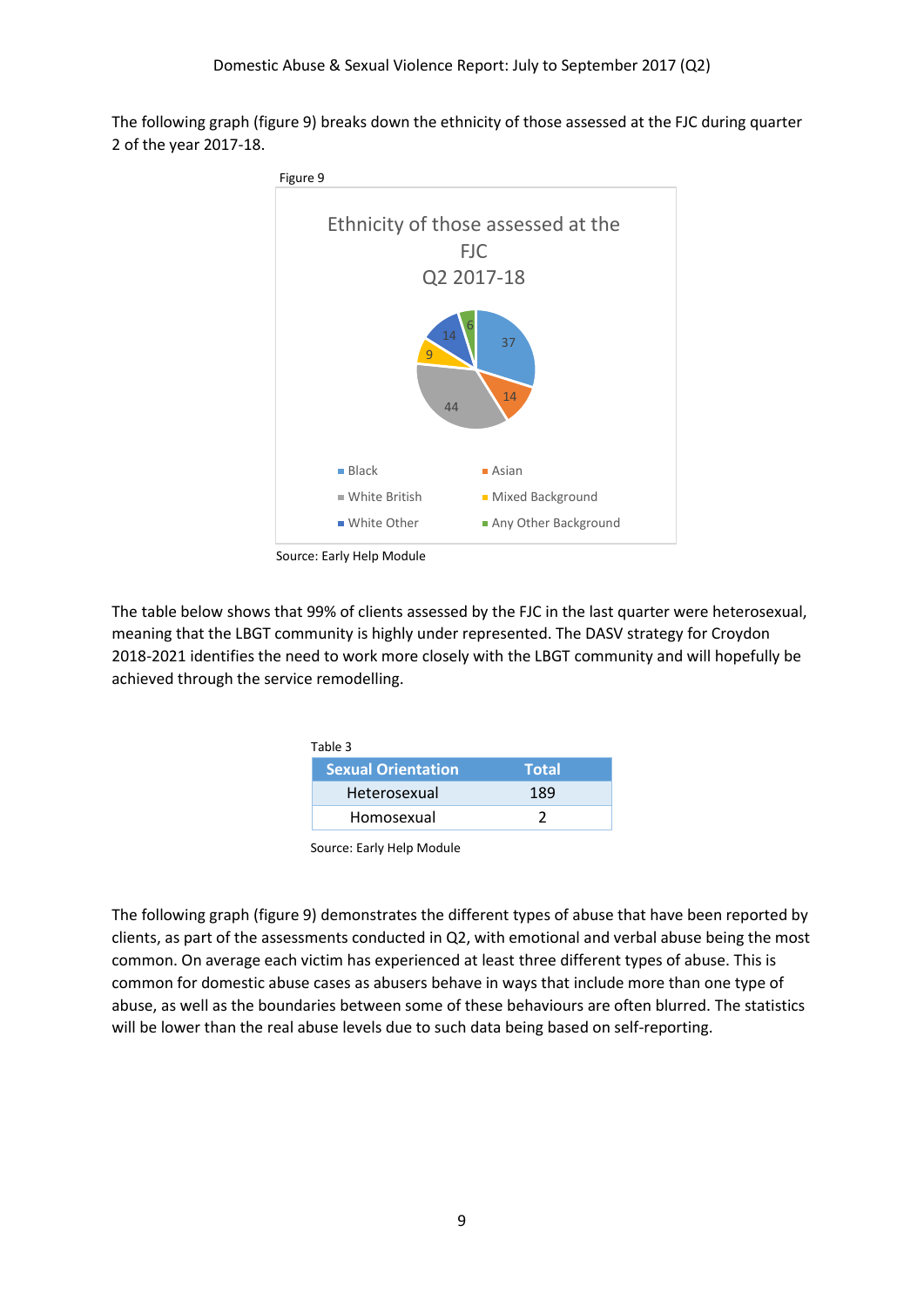The following graph (figure 9) breaks down the ethnicity of those assessed at the FJC during quarter 2 of the year 2017-18.



Source: Early Help Module

The table below shows that 99% of clients assessed by the FJC in the last quarter were heterosexual, meaning that the LBGT community is highly under represented. The DASV strategy for Croydon 2018-2021 identifies the need to work more closely with the LBGT community and will hopefully be achieved through the service remodelling.

| Table 3                   |              |  |
|---------------------------|--------------|--|
| <b>Sexual Orientation</b> | <b>Total</b> |  |
| Heterosexual              | 189          |  |
| Homosexual                |              |  |

Source: Early Help Module

The following graph (figure 9) demonstrates the different types of abuse that have been reported by clients, as part of the assessments conducted in Q2, with emotional and verbal abuse being the most common. On average each victim has experienced at least three different types of abuse. This is common for domestic abuse cases as abusers behave in ways that include more than one type of abuse, as well as the boundaries between some of these behaviours are often blurred. The statistics will be lower than the real abuse levels due to such data being based on self-reporting.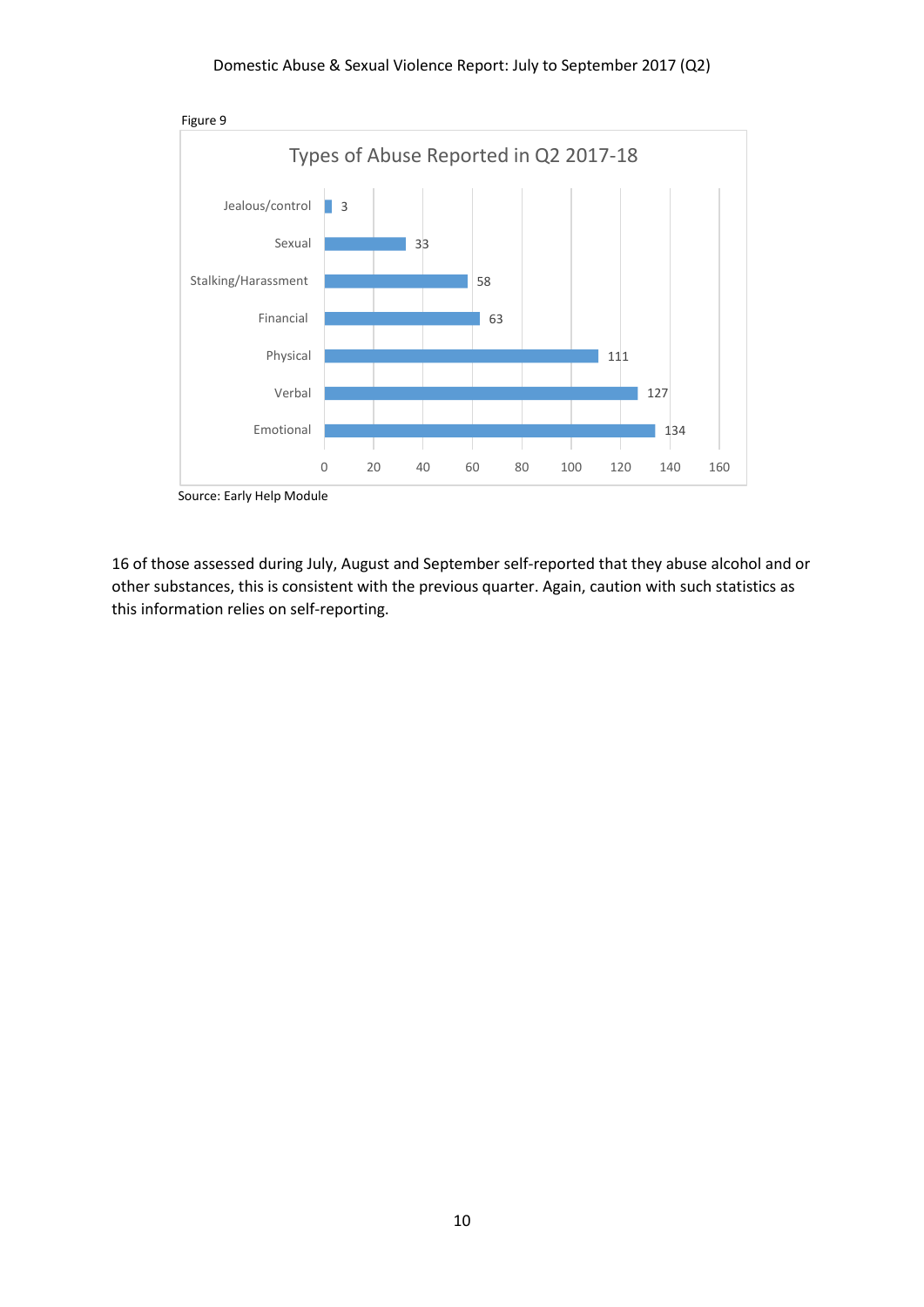

Source: Early Help Module

16 of those assessed during July, August and September self-reported that they abuse alcohol and or other substances, this is consistent with the previous quarter. Again, caution with such statistics as this information relies on self-reporting.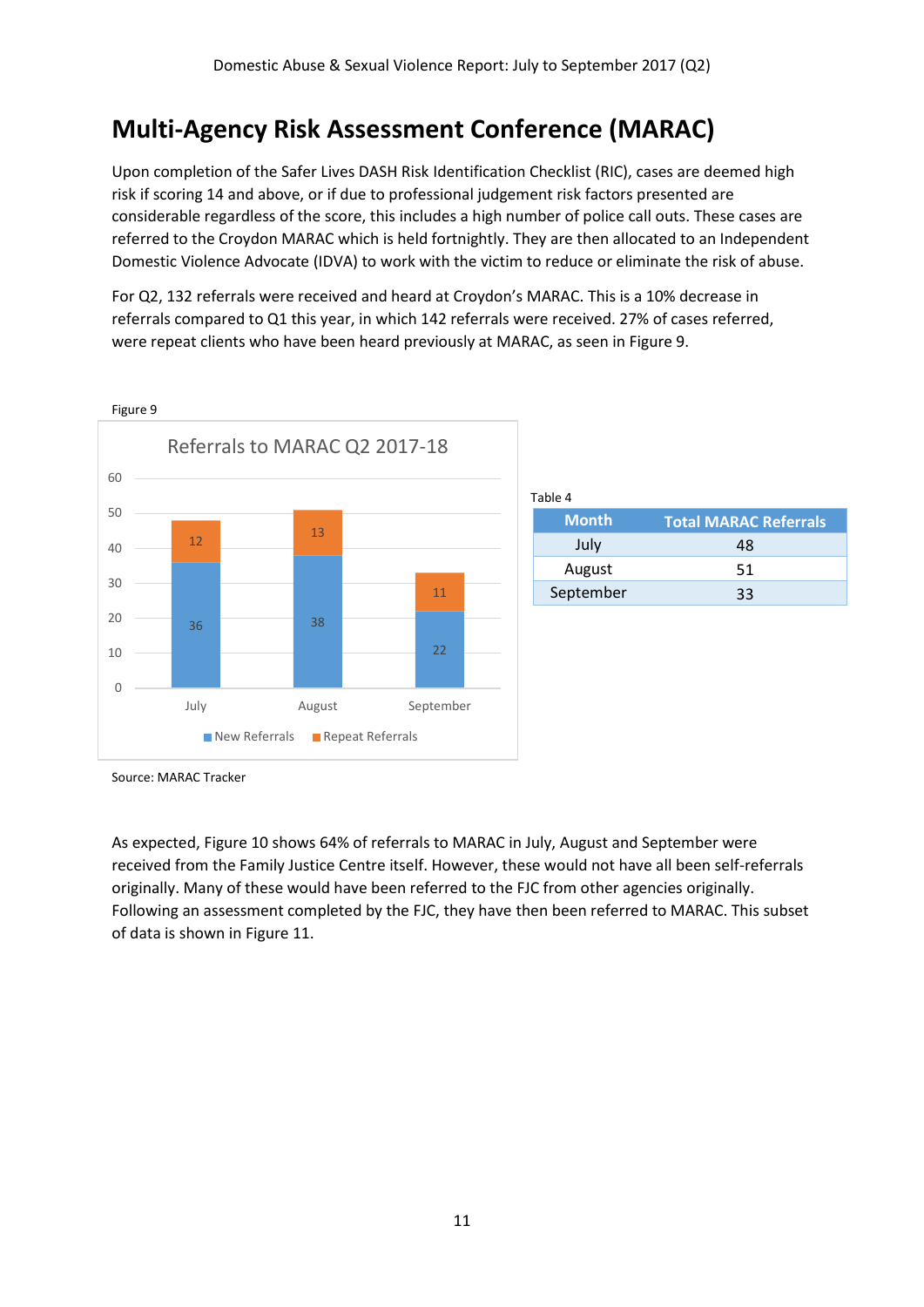## **Multi-Agency Risk Assessment Conference (MARAC)**

Upon completion of the Safer Lives DASH Risk Identification Checklist (RIC), cases are deemed high risk if scoring 14 and above, or if due to professional judgement risk factors presented are considerable regardless of the score, this includes a high number of police call outs. These cases are referred to the Croydon MARAC which is held fortnightly. They are then allocated to an Independent Domestic Violence Advocate (IDVA) to work with the victim to reduce or eliminate the risk of abuse.

For Q2, 132 referrals were received and heard at Croydon's MARAC. This is a 10% decrease in referrals compared to Q1 this year, in which 142 referrals were received. 27% of cases referred, were repeat clients who have been heard previously at MARAC, as seen in Figure 9.



| <b>Month</b> | <b>Total MARAC Referrals</b> |  |
|--------------|------------------------------|--|
| July         | 48                           |  |
| August       | 51                           |  |
| September    | 33                           |  |

Source: MARAC Tracker

As expected, Figure 10 shows 64% of referrals to MARAC in July, August and September were received from the Family Justice Centre itself. However, these would not have all been self-referrals originally. Many of these would have been referred to the FJC from other agencies originally. Following an assessment completed by the FJC, they have then been referred to MARAC. This subset of data is shown in Figure 11.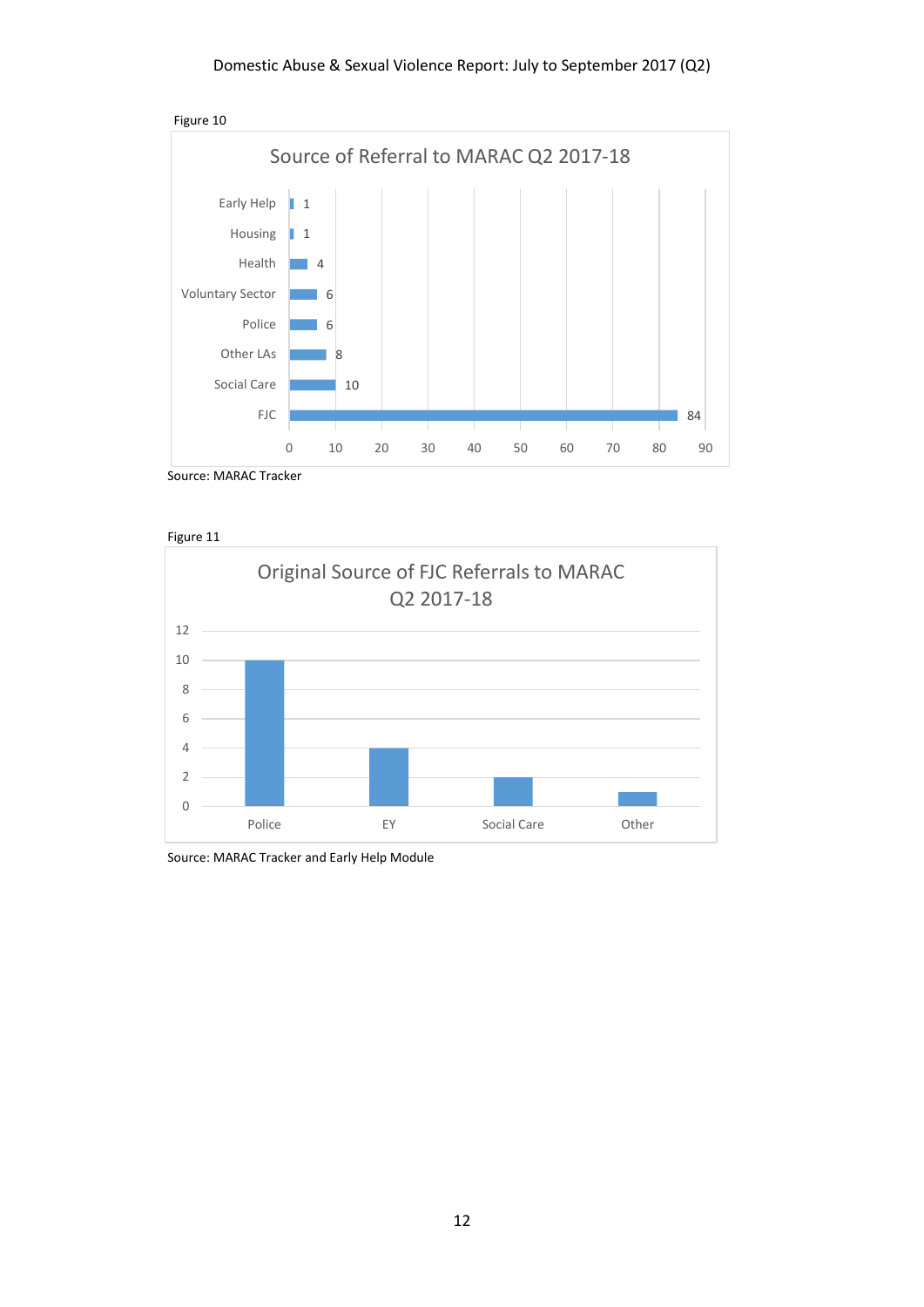

Source: MARAC Tracker





Source: MARAC Tracker and Early Help Module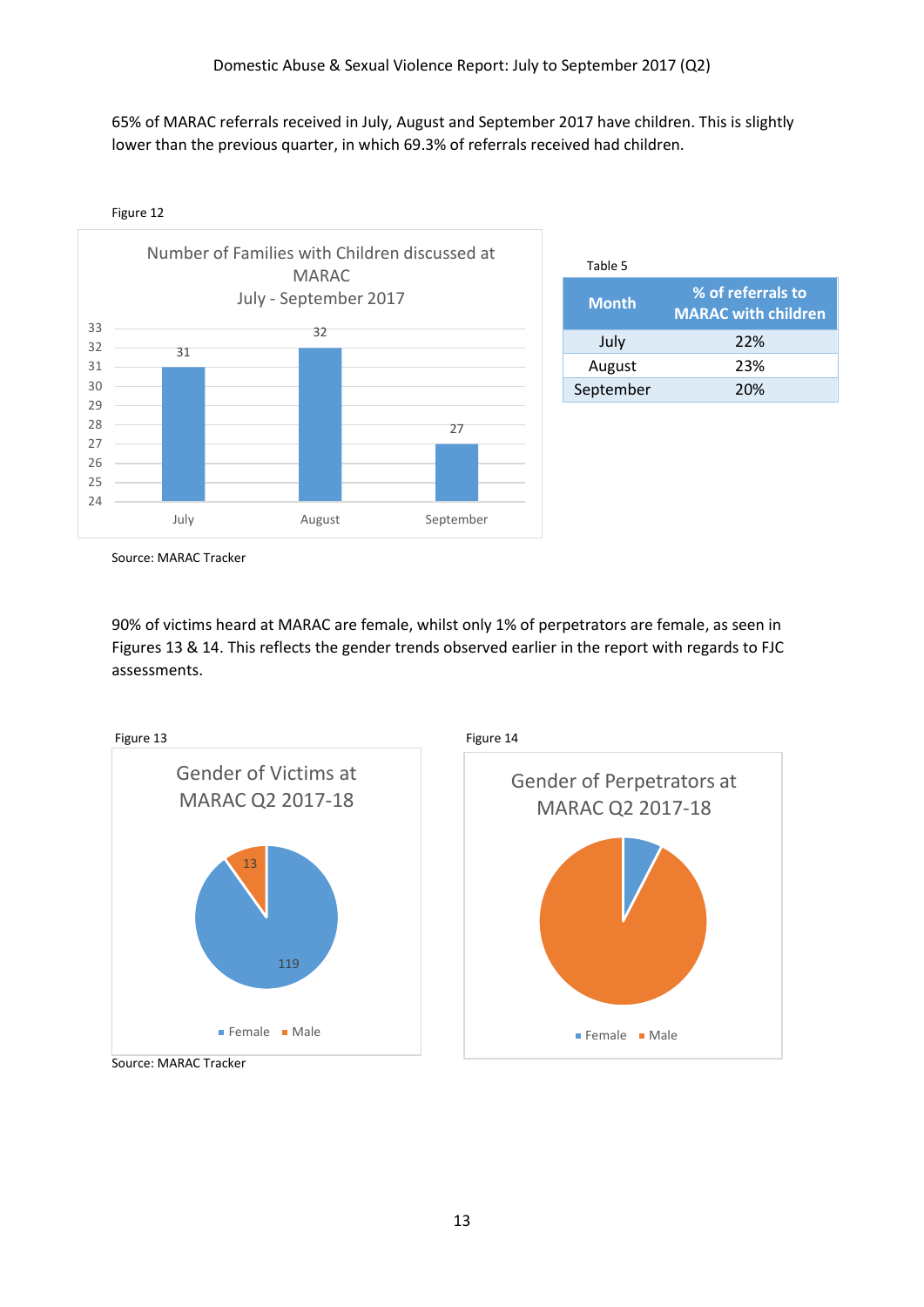65% of MARAC referrals received in July, August and September 2017 have children. This is slightly lower than the previous quarter, in which 69.3% of referrals received had children.



| Table 5      |                                                 |
|--------------|-------------------------------------------------|
| <b>Month</b> | % of referrals to<br><b>MARAC with children</b> |
| July         | 22%                                             |
| August       | 23%                                             |
| September    | 20%                                             |

Source: MARAC Tracker

90% of victims heard at MARAC are female, whilst only 1% of perpetrators are female, as seen in Figures 13 & 14. This reflects the gender trends observed earlier in the report with regards to FJC assessments.

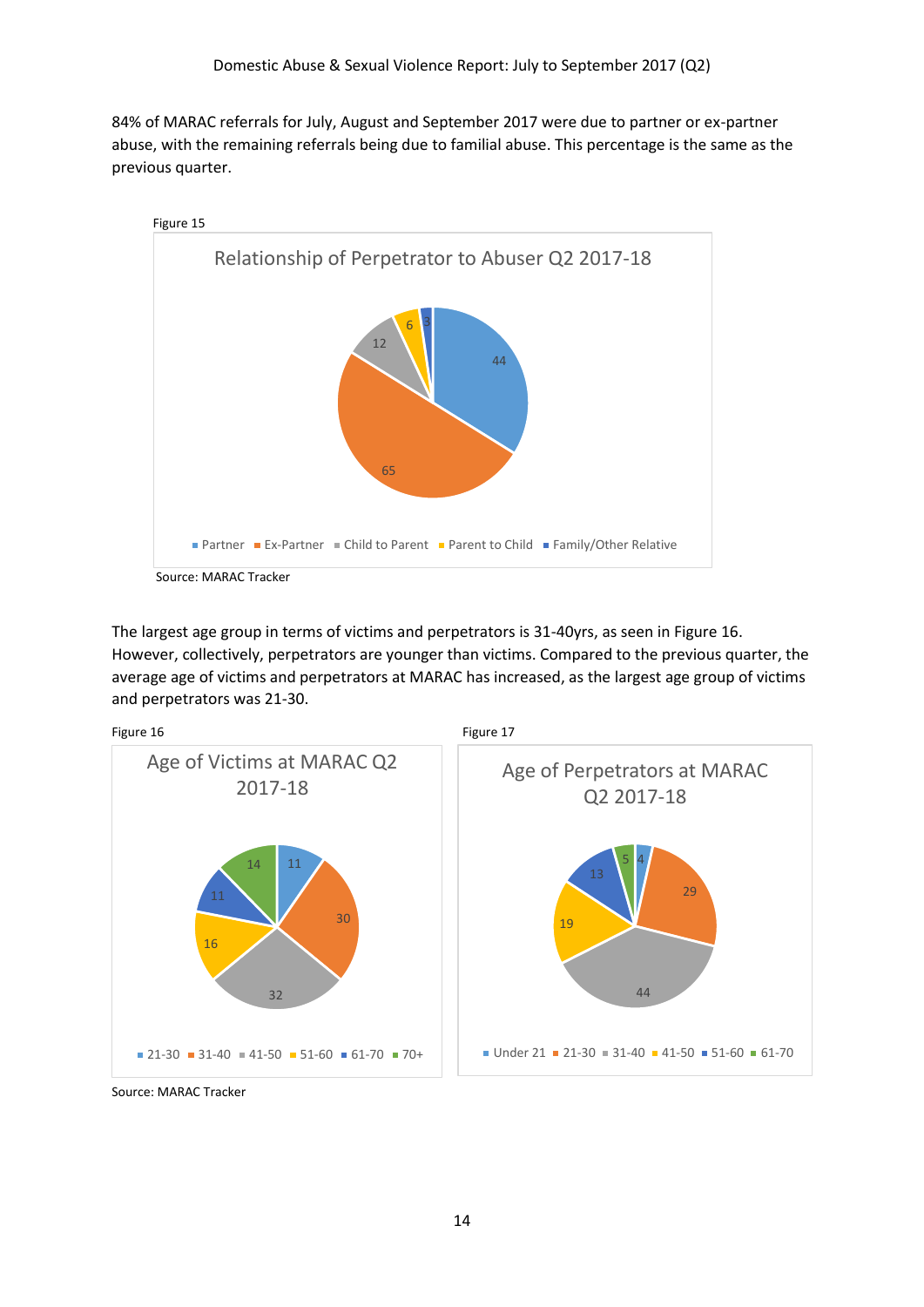84% of MARAC referrals for July, August and September 2017 were due to partner or ex-partner abuse, with the remaining referrals being due to familial abuse. This percentage is the same as the previous quarter.



The largest age group in terms of victims and perpetrators is 31-40yrs, as seen in Figure 16. However, collectively, perpetrators are younger than victims. Compared to the previous quarter, the average age of victims and perpetrators at MARAC has increased, as the largest age group of victims and perpetrators was 21-30.



Source: MARAC Tracker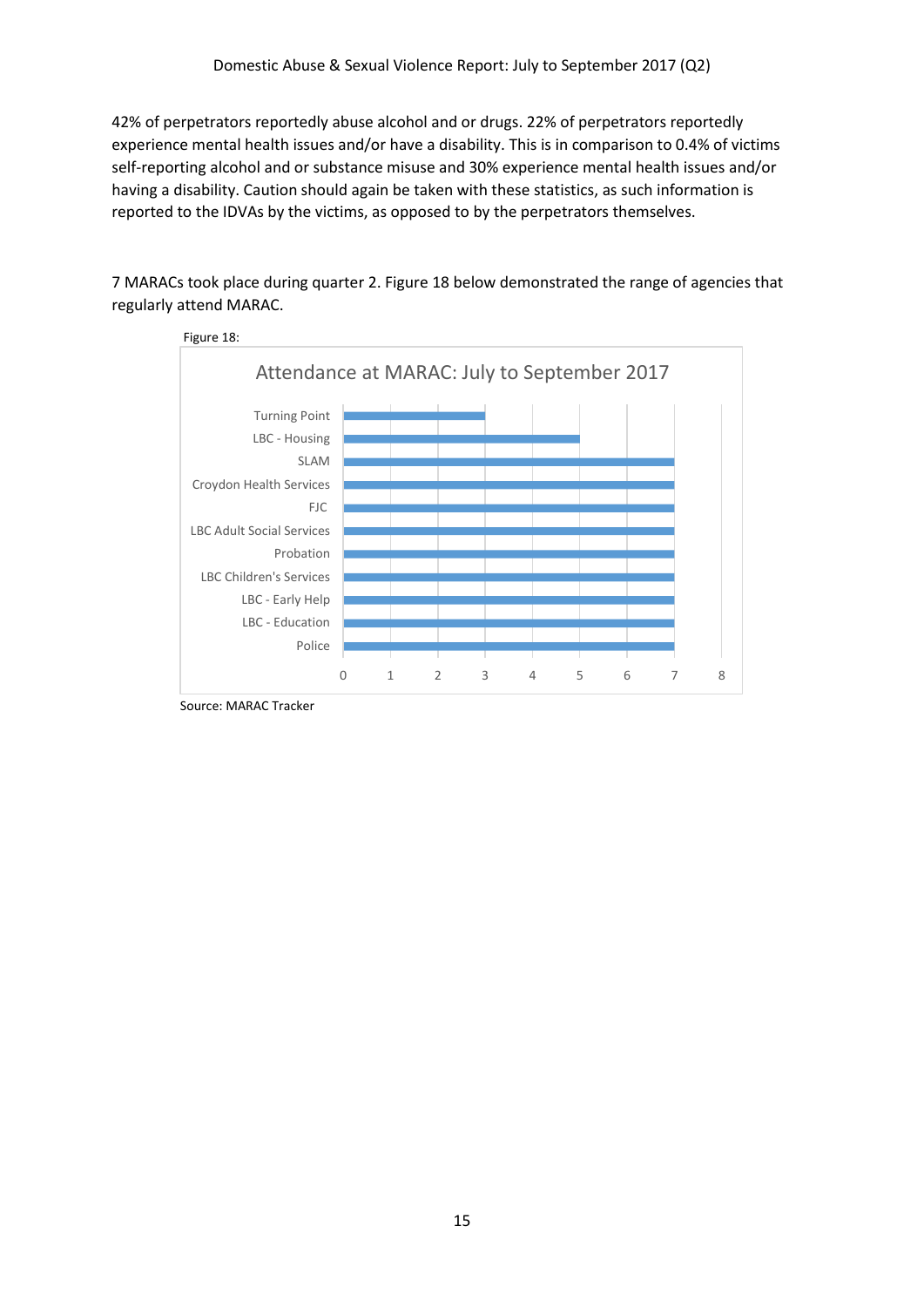42% of perpetrators reportedly abuse alcohol and or drugs. 22% of perpetrators reportedly experience mental health issues and/or have a disability. This is in comparison to 0.4% of victims self-reporting alcohol and or substance misuse and 30% experience mental health issues and/or having a disability. Caution should again be taken with these statistics, as such information is reported to the IDVAs by the victims, as opposed to by the perpetrators themselves.

7 MARACs took place during quarter 2. Figure 18 below demonstrated the range of agencies that regularly attend MARAC.



Source: MARAC Tracker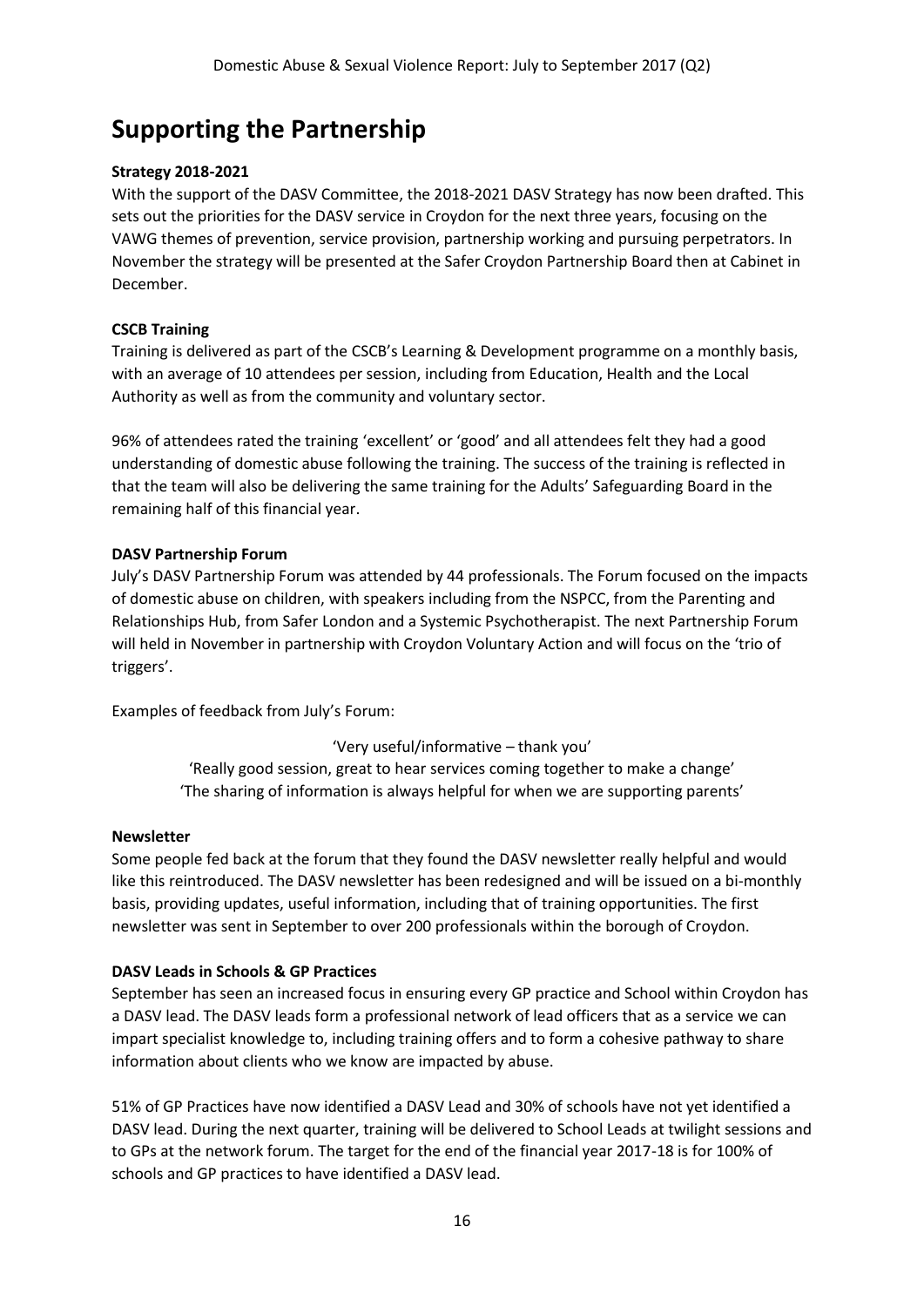## **Supporting the Partnership**

## **Strategy 2018-2021**

With the support of the DASV Committee, the 2018-2021 DASV Strategy has now been drafted. This sets out the priorities for the DASV service in Croydon for the next three years, focusing on the VAWG themes of prevention, service provision, partnership working and pursuing perpetrators. In November the strategy will be presented at the Safer Croydon Partnership Board then at Cabinet in December.

## **CSCB Training**

Training is delivered as part of the CSCB's Learning & Development programme on a monthly basis, with an average of 10 attendees per session, including from Education, Health and the Local Authority as well as from the community and voluntary sector.

96% of attendees rated the training 'excellent' or 'good' and all attendees felt they had a good understanding of domestic abuse following the training. The success of the training is reflected in that the team will also be delivering the same training for the Adults' Safeguarding Board in the remaining half of this financial year.

## **DASV Partnership Forum**

July's DASV Partnership Forum was attended by 44 professionals. The Forum focused on the impacts of domestic abuse on children, with speakers including from the NSPCC, from the Parenting and Relationships Hub, from Safer London and a Systemic Psychotherapist. The next Partnership Forum will held in November in partnership with Croydon Voluntary Action and will focus on the 'trio of triggers'.

Examples of feedback from July's Forum:

'Very useful/informative – thank you' 'Really good session, great to hear services coming together to make a change' 'The sharing of information is always helpful for when we are supporting parents'

### **Newsletter**

Some people fed back at the forum that they found the DASV newsletter really helpful and would like this reintroduced. The DASV newsletter has been redesigned and will be issued on a bi-monthly basis, providing updates, useful information, including that of training opportunities. The first newsletter was sent in September to over 200 professionals within the borough of Croydon.

## **DASV Leads in Schools & GP Practices**

September has seen an increased focus in ensuring every GP practice and School within Croydon has a DASV lead. The DASV leads form a professional network of lead officers that as a service we can impart specialist knowledge to, including training offers and to form a cohesive pathway to share information about clients who we know are impacted by abuse.

51% of GP Practices have now identified a DASV Lead and 30% of schools have not yet identified a DASV lead. During the next quarter, training will be delivered to School Leads at twilight sessions and to GPs at the network forum. The target for the end of the financial year 2017-18 is for 100% of schools and GP practices to have identified a DASV lead.